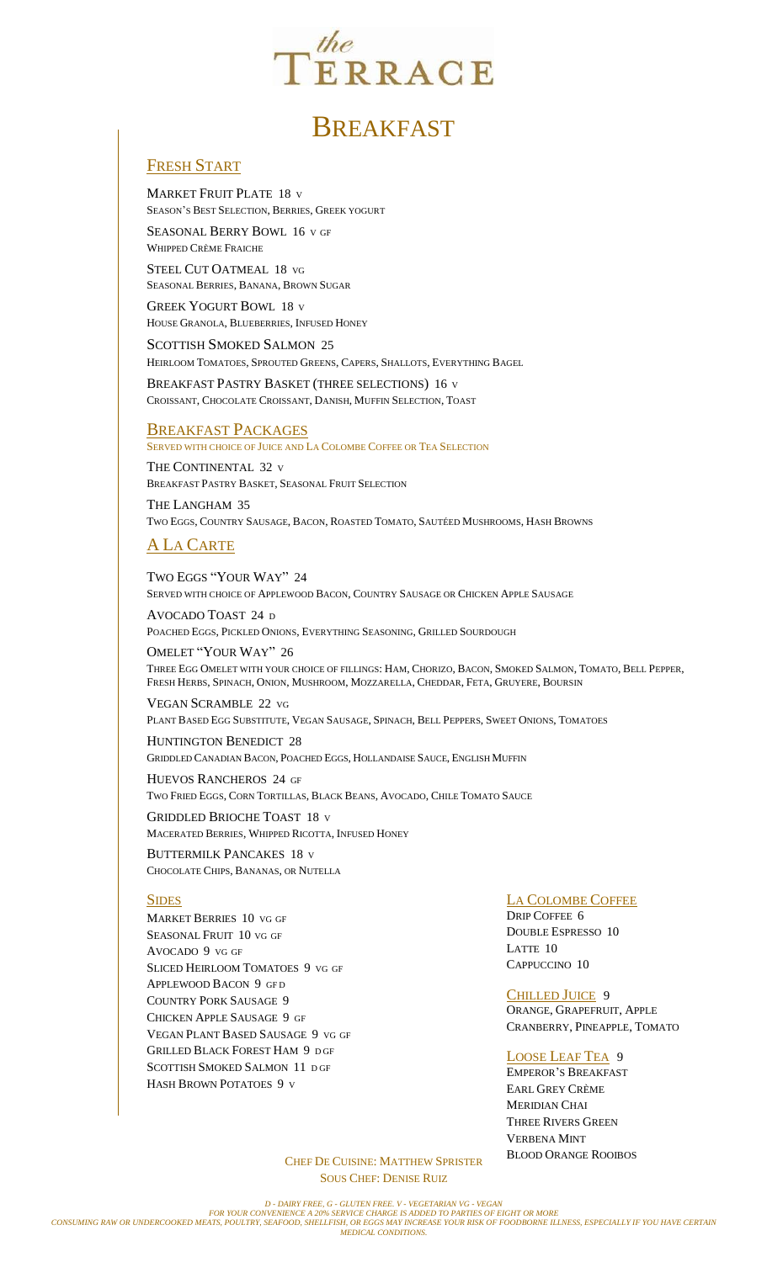

# **BREAKFAST**

## FRESH START

MARKET FRUIT PLATE 18 <sup>V</sup> SEASON'S BEST SELECTION, BERRIES, GREEK YOGURT

SEASONAL BERRY BOWL 16 <sup>V</sup> GF WHIPPED CRÈME FRAICHE

STEEL CUT OATMEAL 18 VG SEASONAL BERRIES, BANANA, BROWN SUGAR

GREEK YOGURT BOWL 18 <sup>V</sup> HOUSE GRANOLA, BLUEBERRIES, INFUSED HONEY

SCOTTISH SMOKED SALMON 25 HEIRLOOM TOMATOES, SPROUTED GREENS, CAPERS, SHALLOTS, EVERYTHING BAGEL

BREAKFAST PASTRY BASKET (THREE SELECTIONS) 16 <sup>V</sup> CROISSANT, CHOCOLATE CROISSANT, DANISH, MUFFIN SELECTION, TOAST

### **BREAKFAST PACKAGES**

SERVED WITH CHOICE OF JUICE AND LA COLOMBE COFFEE OR TEA SELECTION

THE CONTINENTAL 32 <sup>V</sup> BREAKFAST PASTRY BASKET, SEASONAL FRUIT SELECTION

THE LANGHAM 35 TWO EGGS, COUNTRY SAUSAGE, BACON, ROASTED TOMATO, SAUTÉED MUSHROOMS, HASH BROWNS

# A LA CARTE

TWO EGGS "YOUR WAY" 24 SERVED WITH CHOICE OF APPLEWOOD BACON, COUNTRY SAUSAGE OR CHICKEN APPLE SAUSAGE

AVOCADO TOAST 24 <sup>D</sup> POACHED EGGS, PICKLED ONIONS, EVERYTHING SEASONING, GRILLED SOURDOUGH

OMELET "YOUR WAY" 26 THREE EGG OMELET WITH YOUR CHOICE OF FILLINGS: HAM, CHORIZO, BACON, SMOKED SALMON, TOMATO, BELL PEPPER, FRESH HERBS, SPINACH, ONION, MUSHROOM, MOZZARELLA, CHEDDAR, FETA, GRUYERE, BOURSIN

VEGAN SCRAMBLE 22 VG PLANT BASED EGG SUBSTITUTE, VEGAN SAUSAGE, SPINACH, BELL PEPPERS, SWEET ONIONS, TOMATOES

HUNTINGTON BENEDICT 28 GRIDDLED CANADIAN BACON, POACHED EGGS, HOLLANDAISE SAUCE, ENGLISH MUFFIN

HUEVOS RANCHEROS 24 GF TWO FRIED EGGS, CORN TORTILLAS, BLACK BEANS, AVOCADO, CHILE TOMATO SAUCE

GRIDDLED BRIOCHE TOAST 18 <sup>V</sup> MACERATED BERRIES, WHIPPED RICOTTA, INFUSED HONEY

BUTTERMILK PANCAKES 18 <sup>V</sup> CHOCOLATE CHIPS, BANANAS, OR NUTELLA

#### SIDES

MARKET BERRIES 10 VG GF SEASONAL FRUIT 10 VG GF AVOCADO 9 VG GF SLICED HEIRLOOM TOMATOES 9 VG GF APPLEWOOD BACON 9 GF <sup>D</sup> COUNTRY PORK SAUSAGE 9 CHICKEN APPLE SAUSAGE 9 GF VEGAN PLANT BASED SAUSAGE 9 VG GF GRILLED BLACK FOREST HAM 9 <sup>D</sup> GF SCOTTISH SMOKED SALMON 11 <sup>D</sup> GF HASH BROWN POTATOES 9 <sup>V</sup>

LA COLOMBE COFFEE

DRIP COFFEE 6 DOUBLE ESPRESSO 10 LATTE 10 CAPPUCCINO 10

CHILLED JUICE9 ORANGE, GRAPEFRUIT, APPLE CRANBERRY, PINEAPPLE, TOMATO

#### LOOSE LEAF TEA9

EMPEROR'S BREAKFAST EARL GREY CRÈME MERIDIAN CHAI THREE RIVERS GREEN VERBENA MINT BLOOD ORANGE ROOIBOS

CHEF DE CUISINE: MATTHEW SPRISTER SOUS CHEF: DENISE RUIZ